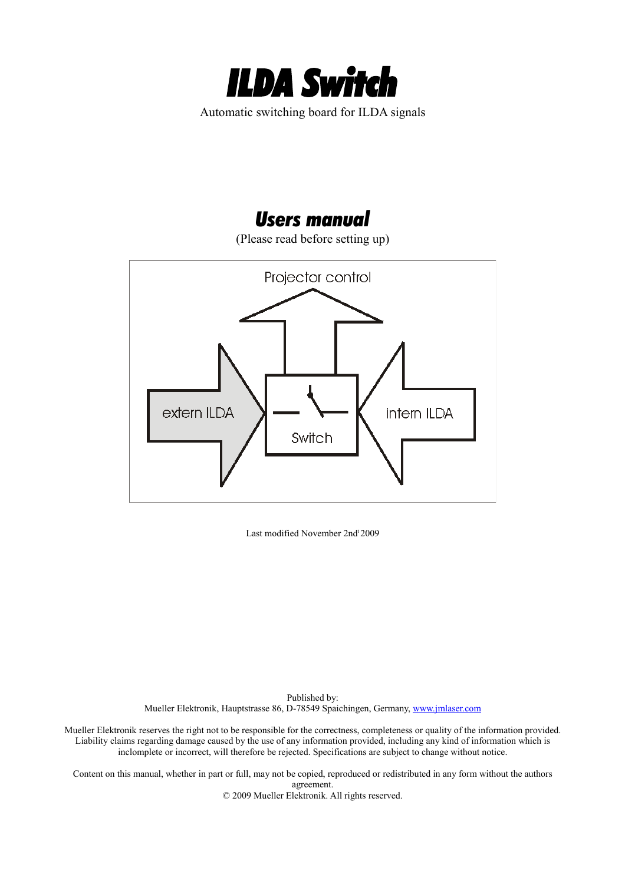

# *Users manual*

(Please read before setting up)



Last modified November 2nd<sup>t</sup> 2009

Published by: Mueller Elektronik, Hauptstrasse 86, D-78549 Spaichingen, Germany, [www.jmlaser.com](http://www.jmlaser.com/)

Mueller Elektronik reserves the right not to be responsible for the correctness, completeness or quality of the information provided. Liability claims regarding damage caused by the use of any information provided, including any kind of information which is inclomplete or incorrect, will therefore be rejected. Specifications are subject to change without notice.

Content on this manual, whether in part or full, may not be copied, reproduced or redistributed in any form without the authors agreement. © 2009 Mueller Elektronik. All rights reserved.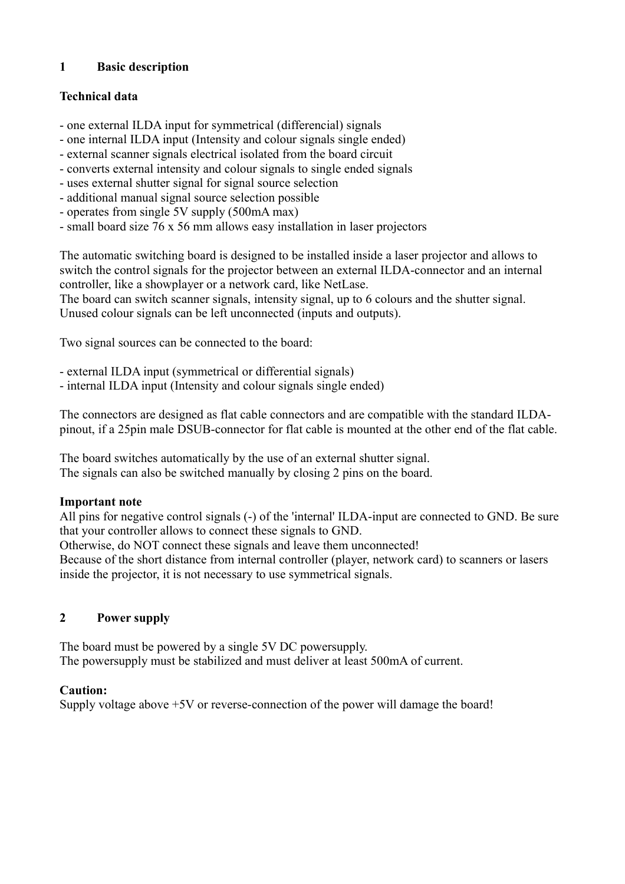#### **1 Basic description**

#### **Technical data**

- one external ILDA input for symmetrical (differencial) signals
- one internal ILDA input (Intensity and colour signals single ended)
- external scanner signals electrical isolated from the board circuit
- converts external intensity and colour signals to single ended signals
- uses external shutter signal for signal source selection
- additional manual signal source selection possible
- operates from single 5V supply (500mA max)
- small board size 76 x 56 mm allows easy installation in laser projectors

The automatic switching board is designed to be installed inside a laser projector and allows to switch the control signals for the projector between an external ILDA-connector and an internal controller, like a showplayer or a network card, like NetLase.

The board can switch scanner signals, intensity signal, up to 6 colours and the shutter signal. Unused colour signals can be left unconnected (inputs and outputs).

Two signal sources can be connected to the board:

- external ILDA input (symmetrical or differential signals)
- internal ILDA input (Intensity and colour signals single ended)

The connectors are designed as flat cable connectors and are compatible with the standard ILDApinout, if a 25pin male DSUB-connector for flat cable is mounted at the other end of the flat cable.

The board switches automatically by the use of an external shutter signal. The signals can also be switched manually by closing 2 pins on the board.

#### **Important note**

All pins for negative control signals (-) of the 'internal' ILDA-input are connected to GND. Be sure that your controller allows to connect these signals to GND.

Otherwise, do NOT connect these signals and leave them unconnected!

Because of the short distance from internal controller (player, network card) to scanners or lasers inside the projector, it is not necessary to use symmetrical signals.

### **2 Power supply**

The board must be powered by a single 5V DC powersupply. The powersupply must be stabilized and must deliver at least 500mA of current.

### **Caution:**

Supply voltage above +5V or reverse-connection of the power will damage the board!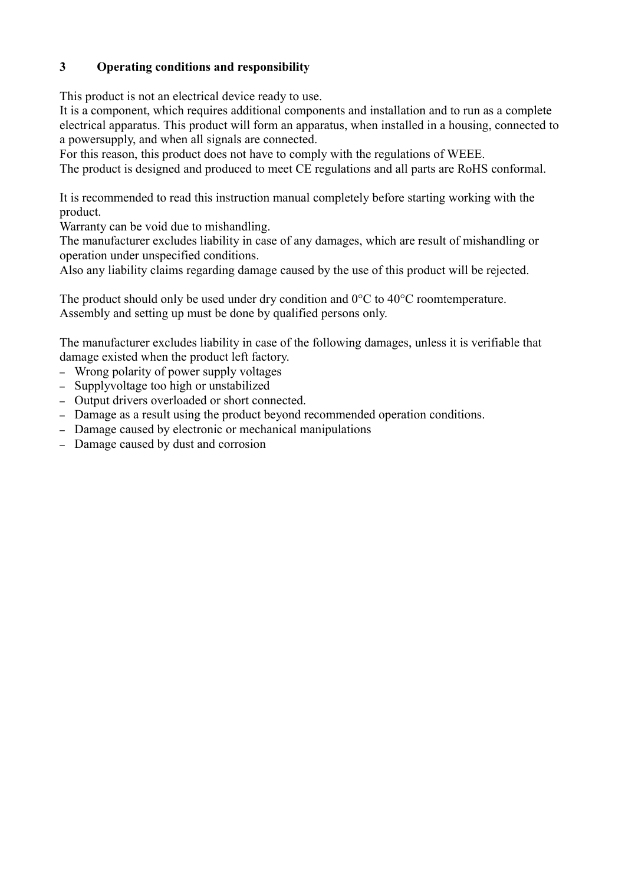### **3 Operating conditions and responsibility**

This product is not an electrical device ready to use.

It is a component, which requires additional components and installation and to run as a complete electrical apparatus. This product will form an apparatus, when installed in a housing, connected to a powersupply, and when all signals are connected.

For this reason, this product does not have to comply with the regulations of WEEE.

The product is designed and produced to meet CE regulations and all parts are RoHS conformal.

It is recommended to read this instruction manual completely before starting working with the product.

Warranty can be void due to mishandling.

The manufacturer excludes liability in case of any damages, which are result of mishandling or operation under unspecified conditions.

Also any liability claims regarding damage caused by the use of this product will be rejected.

The product should only be used under dry condition and 0°C to 40°C roomtemperature. Assembly and setting up must be done by qualified persons only.

The manufacturer excludes liability in case of the following damages, unless it is verifiable that damage existed when the product left factory.

- Wrong polarity of power supply voltages
- Supplyvoltage too high or unstabilized
- Output drivers overloaded or short connected.
- Damage as a result using the product beyond recommended operation conditions.
- Damage caused by electronic or mechanical manipulations
- Damage caused by dust and corrosion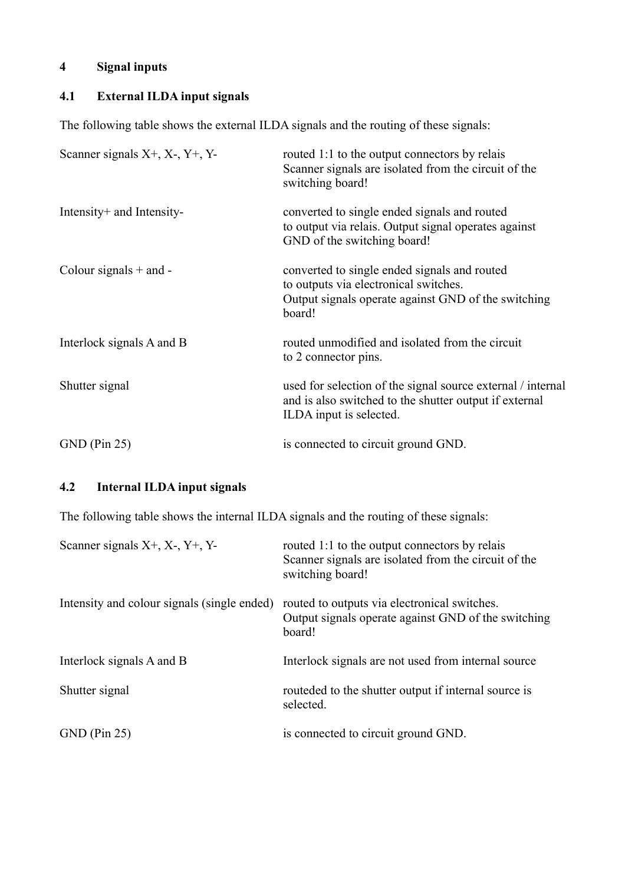## **4 Signal inputs**

## **4.1 External ILDA input signals**

The following table shows the external ILDA signals and the routing of these signals:

| Scanner signals $X^+$ , $X^-$ , $Y^+$ , $Y^-$ | routed 1:1 to the output connectors by relais<br>Scanner signals are isolated from the circuit of the<br>switching board!                              |
|-----------------------------------------------|--------------------------------------------------------------------------------------------------------------------------------------------------------|
| Intensity + and Intensity-                    | converted to single ended signals and routed<br>to output via relais. Output signal operates against<br>GND of the switching board!                    |
| Colour signals $+$ and $-$                    | converted to single ended signals and routed<br>to outputs via electronical switches.<br>Output signals operate against GND of the switching<br>board! |
| Interlock signals A and B                     | routed unmodified and isolated from the circuit<br>to 2 connector pins.                                                                                |
| Shutter signal                                | used for selection of the signal source external / internal<br>and is also switched to the shutter output if external<br>ILDA input is selected.       |
| $GND$ (Pin 25)                                | is connected to circuit ground GND.                                                                                                                    |

### **4.2 Internal ILDA input signals**

The following table shows the internal ILDA signals and the routing of these signals:

| Scanner signals $X^+$ , $X^-$ , $Y^+$ , $Y^-$ | routed 1:1 to the output connectors by relais<br>Scanner signals are isolated from the circuit of the<br>switching board! |
|-----------------------------------------------|---------------------------------------------------------------------------------------------------------------------------|
| Intensity and colour signals (single ended)   | routed to outputs via electronical switches.<br>Output signals operate against GND of the switching<br>board!             |
| Interlock signals A and B                     | Interlock signals are not used from internal source                                                                       |
| Shutter signal                                | routeded to the shutter output if internal source is<br>selected.                                                         |
| $GND$ (Pin 25)                                | is connected to circuit ground GND.                                                                                       |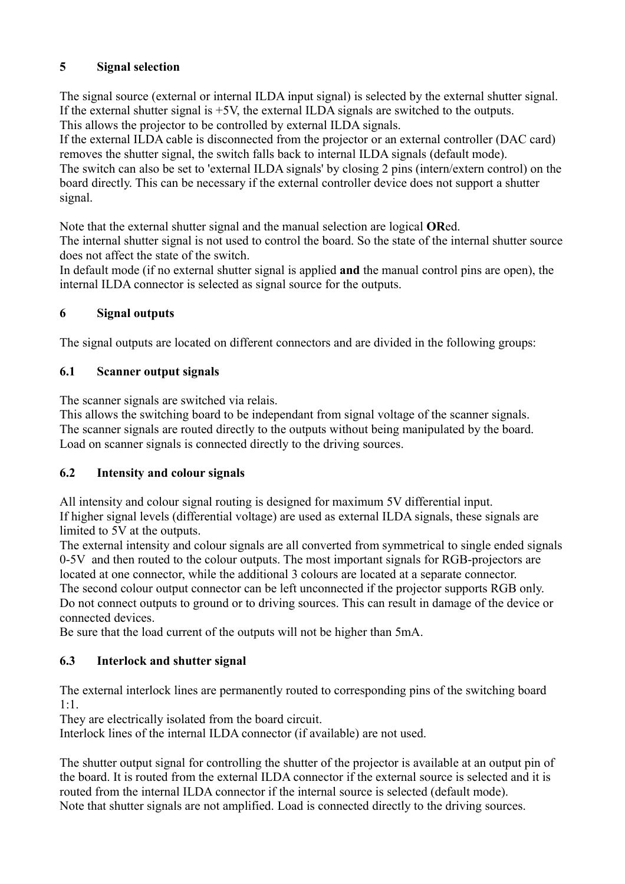### **5 Signal selection**

The signal source (external or internal ILDA input signal) is selected by the external shutter signal. If the external shutter signal is +5V, the external ILDA signals are switched to the outputs. This allows the projector to be controlled by external ILDA signals.

If the external ILDA cable is disconnected from the projector or an external controller (DAC card) removes the shutter signal, the switch falls back to internal ILDA signals (default mode).

The switch can also be set to 'external ILDA signals' by closing 2 pins (intern/extern control) on the board directly. This can be necessary if the external controller device does not support a shutter signal.

Note that the external shutter signal and the manual selection are logical **OR**ed.

The internal shutter signal is not used to control the board. So the state of the internal shutter source does not affect the state of the switch.

In default mode (if no external shutter signal is applied **and** the manual control pins are open), the internal ILDA connector is selected as signal source for the outputs.

### **6 Signal outputs**

The signal outputs are located on different connectors and are divided in the following groups:

### **6.1 Scanner output signals**

The scanner signals are switched via relais.

This allows the switching board to be independant from signal voltage of the scanner signals. The scanner signals are routed directly to the outputs without being manipulated by the board. Load on scanner signals is connected directly to the driving sources.

### **6.2 Intensity and colour signals**

All intensity and colour signal routing is designed for maximum 5V differential input. If higher signal levels (differential voltage) are used as external ILDA signals, these signals are limited to 5V at the outputs.

The external intensity and colour signals are all converted from symmetrical to single ended signals 0-5V and then routed to the colour outputs. The most important signals for RGB-projectors are located at one connector, while the additional 3 colours are located at a separate connector. The second colour output connector can be left unconnected if the projector supports RGB only. Do not connect outputs to ground or to driving sources. This can result in damage of the device or connected devices.

Be sure that the load current of the outputs will not be higher than 5mA.

### **6.3 Interlock and shutter signal**

The external interlock lines are permanently routed to corresponding pins of the switching board 1:1.

They are electrically isolated from the board circuit.

Interlock lines of the internal ILDA connector (if available) are not used.

The shutter output signal for controlling the shutter of the projector is available at an output pin of the board. It is routed from the external ILDA connector if the external source is selected and it is routed from the internal ILDA connector if the internal source is selected (default mode). Note that shutter signals are not amplified. Load is connected directly to the driving sources.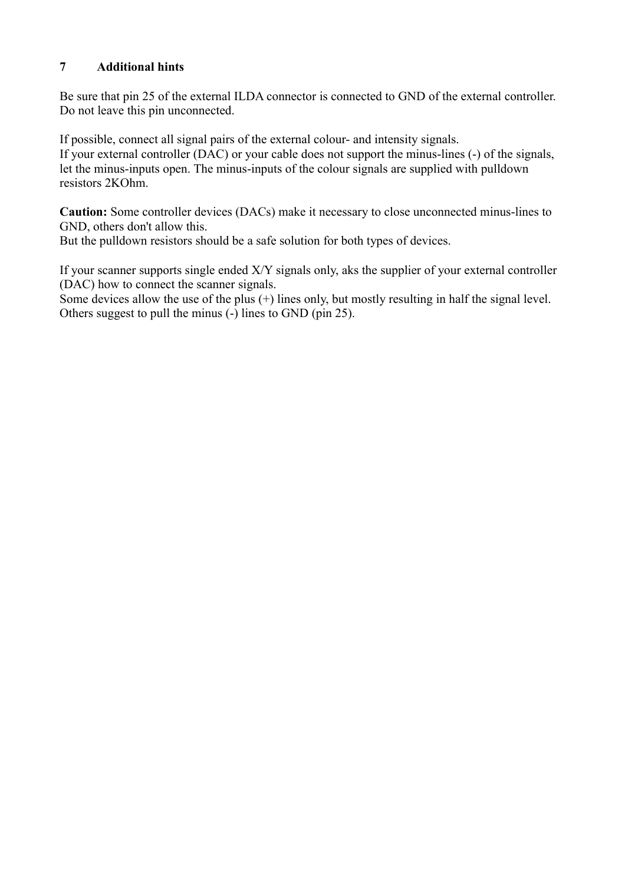#### **7 Additional hints**

Be sure that pin 25 of the external ILDA connector is connected to GND of the external controller. Do not leave this pin unconnected.

If possible, connect all signal pairs of the external colour- and intensity signals. If your external controller (DAC) or your cable does not support the minus-lines (-) of the signals, let the minus-inputs open. The minus-inputs of the colour signals are supplied with pulldown resistors 2KOhm.

**Caution:** Some controller devices (DACs) make it necessary to close unconnected minus-lines to GND, others don't allow this.

But the pulldown resistors should be a safe solution for both types of devices.

If your scanner supports single ended X/Y signals only, aks the supplier of your external controller (DAC) how to connect the scanner signals.

Some devices allow the use of the plus (+) lines only, but mostly resulting in half the signal level. Others suggest to pull the minus (-) lines to GND (pin 25).